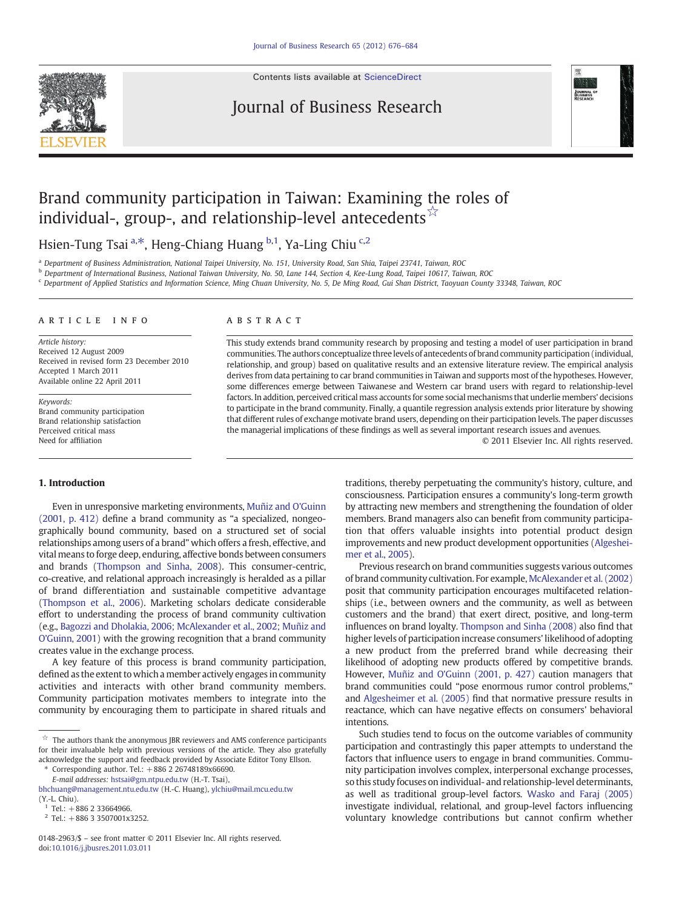Contents lists available at [ScienceDirect](http://www.sciencedirect.com/science/journal/01482963)

## Journal of Business Research



## Brand community participation in Taiwan: Examining the roles of individual-, group-, and relationship-level antecedents  $\frac{1}{2}$

Hsien-Tung Tsai <sup>a,\*</sup>, Heng-Chiang Huang <sup>b,1</sup>, Ya-Ling Chiu <sup>c,2</sup>

<sup>a</sup> Department of Business Administration, National Taipei University, No. 151, University Road, San Shia, Taipei 23741, Taiwan, ROC

**b** Department of International Business, National Taiwan University, No. 50, Lane 144, Section 4, Kee-Lung Road, Taipei 10617, Taiwan, ROC

<sup>c</sup> Department of Applied Statistics and Information Science, Ming Chuan University, No. 5, De Ming Road, Gui Shan District, Taoyuan County 33348, Taiwan, ROC

#### article info abstract

Article history: Received 12 August 2009 Received in revised form 23 December 2010 Accepted 1 March 2011 Available online 22 April 2011

Keywords: Brand community participation Brand relationship satisfaction Perceived critical mass Need for affiliation

### 1. Introduction

Even in unresponsive marketing environments, [Muñiz and O'Guinn](#page--1-0) [\(2001, p. 412\)](#page--1-0) define a brand community as "a specialized, nongeographically bound community, based on a structured set of social relationships among users of a brand" which offers a fresh, effective, and vital means to forge deep, enduring, affective bonds between consumers and brands ([Thompson and Sinha, 2008](#page--1-0)). This consumer-centric, co-creative, and relational approach increasingly is heralded as a pillar of brand differentiation and sustainable competitive advantage [\(Thompson et al., 2006](#page--1-0)). Marketing scholars dedicate considerable effort to understanding the process of brand community cultivation (e.g., [Bagozzi and Dholakia, 2006; McAlexander et al., 2002; Muñiz and](#page--1-0) [O'Guinn, 2001\)](#page--1-0) with the growing recognition that a brand community creates value in the exchange process.

A key feature of this process is brand community participation, defined as the extent to which a member actively engages in community activities and interacts with other brand community members. Community participation motivates members to integrate into the community by encouraging them to participate in shared rituals and

Corresponding author. Tel.: +886 2 26748189x66690.

E-mail addresses: [hstsai@gm.ntpu.edu.tw](mailto:hstsai@gm.ntpu.edu.tw) (H.-T. Tsai),

This study extends brand community research by proposing and testing a model of user participation in brand communities. The authors conceptualize threelevels of antecedents of brand community participation (individual, relationship, and group) based on qualitative results and an extensive literature review. The empirical analysis derives from data pertaining to car brand communities in Taiwan and supports most of the hypotheses. However, some differences emerge between Taiwanese and Western car brand users with regard to relationship-level factors. In addition, perceived critical mass accounts for some social mechanisms that underlie members' decisions to participate in the brand community. Finally, a quantile regression analysis extends prior literature by showing that different rules of exchange motivate brand users, depending on their participation levels. The paper discusses the managerial implications of these findings as well as several important research issues and avenues.

© 2011 Elsevier Inc. All rights reserved.

traditions, thereby perpetuating the community's history, culture, and consciousness. Participation ensures a community's long-term growth by attracting new members and strengthening the foundation of older members. Brand managers also can benefit from community participation that offers valuable insights into potential product design improvements and new product development opportunities ([Algeshei](#page--1-0)[mer et al., 2005\)](#page--1-0).

Previous research on brand communities suggests various outcomes of brand community cultivation. For example, [McAlexander et al. \(2002\)](#page--1-0) posit that community participation encourages multifaceted relationships (i.e., between owners and the community, as well as between customers and the brand) that exert direct, positive, and long-term influences on brand loyalty. [Thompson and Sinha \(2008\)](#page--1-0) also find that higher levels of participation increase consumers' likelihood of adopting a new product from the preferred brand while decreasing their likelihood of adopting new products offered by competitive brands. However, [Muñiz and O'Guinn \(2001, p. 427\)](#page--1-0) caution managers that brand communities could "pose enormous rumor control problems," and [Algesheimer et al. \(2005\)](#page--1-0) find that normative pressure results in reactance, which can have negative effects on consumers' behavioral intentions.

Such studies tend to focus on the outcome variables of community participation and contrastingly this paper attempts to understand the factors that influence users to engage in brand communities. Community participation involves complex, interpersonal exchange processes, so this study focuses on individual- and relationship-level determinants, as well as traditional group-level factors. [Wasko and Faraj \(2005\)](#page--1-0) investigate individual, relational, and group-level factors influencing voluntary knowledge contributions but cannot confirm whether

 $\overrightarrow{a}$  The authors thank the anonymous JBR reviewers and AMS conference participants for their invaluable help with previous versions of the article. They also gratefully acknowledge the support and feedback provided by Associate Editor Tony Ellson.

[bhchuang@management.ntu.edu.tw](mailto:bhchuang@management.ntu.edu.tw) (H.-C. Huang), [ylchiu@mail.mcu.edu.tw](mailto:ylchiu@mail.mcu.edu.tw) (Y.-L. Chiu).

 $1$  Tel.: +886 2 33664966.

 $2$  Tel.: +886 3 3507001x3252.

<sup>0148-2963/\$</sup> – see front matter © 2011 Elsevier Inc. All rights reserved. doi[:10.1016/j.jbusres.2011.03.011](http://dx.doi.org/10.1016/j.jbusres.2011.03.011)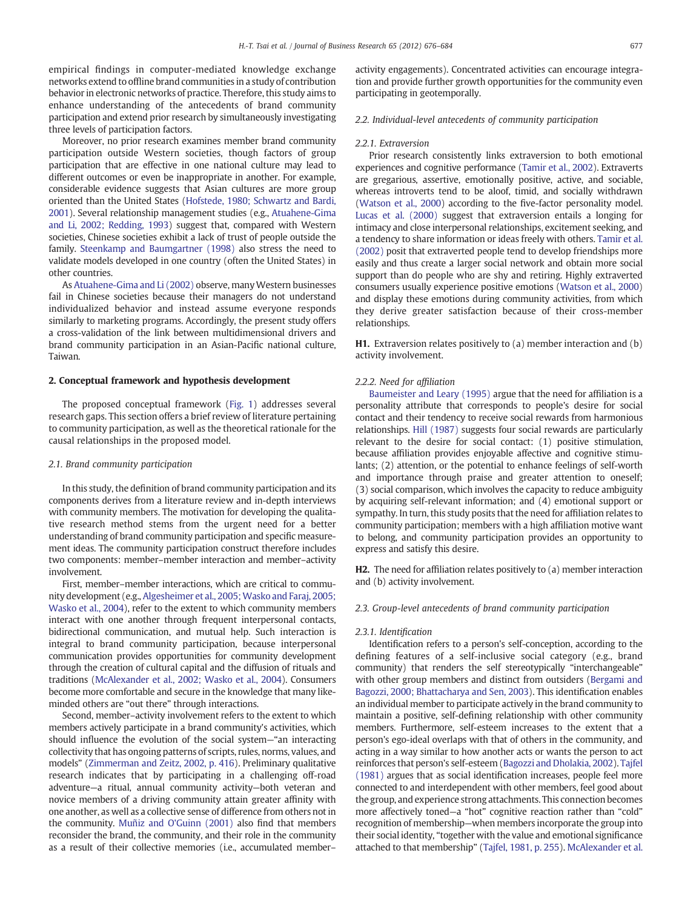empirical findings in computer-mediated knowledge exchange networks extend to offline brand communities in a study of contribution behavior in electronic networks of practice. Therefore, this study aims to enhance understanding of the antecedents of brand community participation and extend prior research by simultaneously investigating three levels of participation factors.

Moreover, no prior research examines member brand community participation outside Western societies, though factors of group participation that are effective in one national culture may lead to different outcomes or even be inappropriate in another. For example, considerable evidence suggests that Asian cultures are more group oriented than the United States [\(Hofstede, 1980; Schwartz and Bardi,](#page--1-0) [2001](#page--1-0)). Several relationship management studies (e.g., [Atuahene-Gima](#page--1-0) [and Li, 2002; Redding, 1993](#page--1-0)) suggest that, compared with Western societies, Chinese societies exhibit a lack of trust of people outside the family. [Steenkamp and Baumgartner \(1998\)](#page--1-0) also stress the need to validate models developed in one country (often the United States) in other countries.

As [Atuahene-Gima and Li \(2002\)](#page--1-0) observe, many Western businesses fail in Chinese societies because their managers do not understand individualized behavior and instead assume everyone responds similarly to marketing programs. Accordingly, the present study offers a cross-validation of the link between multidimensional drivers and brand community participation in an Asian-Pacific national culture, Taiwan.

#### 2. Conceptual framework and hypothesis development

The proposed conceptual framework [\(Fig. 1](#page--1-0)) addresses several research gaps. This section offers a brief review of literature pertaining to community participation, as well as the theoretical rationale for the causal relationships in the proposed model.

#### 2.1. Brand community participation

In this study, the definition of brand community participation and its components derives from a literature review and in-depth interviews with community members. The motivation for developing the qualitative research method stems from the urgent need for a better understanding of brand community participation and specific measurement ideas. The community participation construct therefore includes two components: member–member interaction and member–activity involvement.

First, member–member interactions, which are critical to community development (e.g., Algesheimer et al., 2005; Wasko and Faraj, 2005; [Wasko et al., 2004\)](#page--1-0), refer to the extent to which community members interact with one another through frequent interpersonal contacts, bidirectional communication, and mutual help. Such interaction is integral to brand community participation, because interpersonal communication provides opportunities for community development through the creation of cultural capital and the diffusion of rituals and traditions [\(McAlexander et al., 2002; Wasko et al., 2004\)](#page--1-0). Consumers become more comfortable and secure in the knowledge that many likeminded others are "out there" through interactions.

Second, member–activity involvement refers to the extent to which members actively participate in a brand community's activities, which should influence the evolution of the social system—"an interacting collectivity that has ongoing patterns of scripts, rules, norms, values, and models" [\(Zimmerman and Zeitz, 2002, p. 416\)](#page--1-0). Preliminary qualitative research indicates that by participating in a challenging off-road adventure—a ritual, annual community activity—both veteran and novice members of a driving community attain greater affinity with one another, as well as a collective sense of difference from others not in the community. [Muñiz and O'Guinn \(2001\)](#page--1-0) also find that members reconsider the brand, the community, and their role in the community as a result of their collective memories (i.e., accumulated member–

activity engagements). Concentrated activities can encourage integration and provide further growth opportunities for the community even participating in geotemporally.

#### 2.2. Individual-level antecedents of community participation

#### 2.2.1. Extraversion

Prior research consistently links extraversion to both emotional experiences and cognitive performance [\(Tamir et al., 2002\)](#page--1-0). Extraverts are gregarious, assertive, emotionally positive, active, and sociable, whereas introverts tend to be aloof, timid, and socially withdrawn [\(Watson et al., 2000](#page--1-0)) according to the five-factor personality model. [Lucas et al. \(2000\)](#page--1-0) suggest that extraversion entails a longing for intimacy and close interpersonal relationships, excitement seeking, and a tendency to share information or ideas freely with others. [Tamir et al.](#page--1-0) [\(2002\)](#page--1-0) posit that extraverted people tend to develop friendships more easily and thus create a larger social network and obtain more social support than do people who are shy and retiring. Highly extraverted consumers usually experience positive emotions [\(Watson et al., 2000](#page--1-0)) and display these emotions during community activities, from which they derive greater satisfaction because of their cross-member relationships.

H1. Extraversion relates positively to (a) member interaction and (b) activity involvement.

#### 2.2.2. Need for affiliation

[Baumeister and Leary \(1995\)](#page--1-0) argue that the need for affiliation is a personality attribute that corresponds to people's desire for social contact and their tendency to receive social rewards from harmonious relationships. [Hill \(1987\)](#page--1-0) suggests four social rewards are particularly relevant to the desire for social contact: (1) positive stimulation, because affiliation provides enjoyable affective and cognitive stimulants; (2) attention, or the potential to enhance feelings of self-worth and importance through praise and greater attention to oneself; (3) social comparison, which involves the capacity to reduce ambiguity by acquiring self-relevant information; and (4) emotional support or sympathy. In turn, this study posits that the need for affiliation relates to community participation; members with a high affiliation motive want to belong, and community participation provides an opportunity to express and satisfy this desire.

H2. The need for affiliation relates positively to (a) member interaction and (b) activity involvement.

### 2.3. Group-level antecedents of brand community participation

#### 2.3.1. Identification

Identification refers to a person's self-conception, according to the defining features of a self-inclusive social category (e.g., brand community) that renders the self stereotypically "interchangeable" with other group members and distinct from outsiders [\(Bergami and](#page--1-0) [Bagozzi, 2000; Bhattacharya and Sen, 2003\)](#page--1-0). This identification enables an individual member to participate actively in the brand community to maintain a positive, self-defining relationship with other community members. Furthermore, self-esteem increases to the extent that a person's ego-ideal overlaps with that of others in the community, and acting in a way similar to how another acts or wants the person to act reinforces that person's self-esteem ([Bagozzi and Dholakia, 2002\)](#page--1-0). [Tajfel](#page--1-0) [\(1981\)](#page--1-0) argues that as social identification increases, people feel more connected to and interdependent with other members, feel good about the group, and experience strong attachments. This connection becomes more affectively toned—a "hot" cognitive reaction rather than "cold" recognition of membership—when members incorporate the group into their social identity, "together with the value and emotional significance attached to that membership" [\(Tajfel, 1981, p. 255\)](#page--1-0). [McAlexander et al.](#page--1-0)